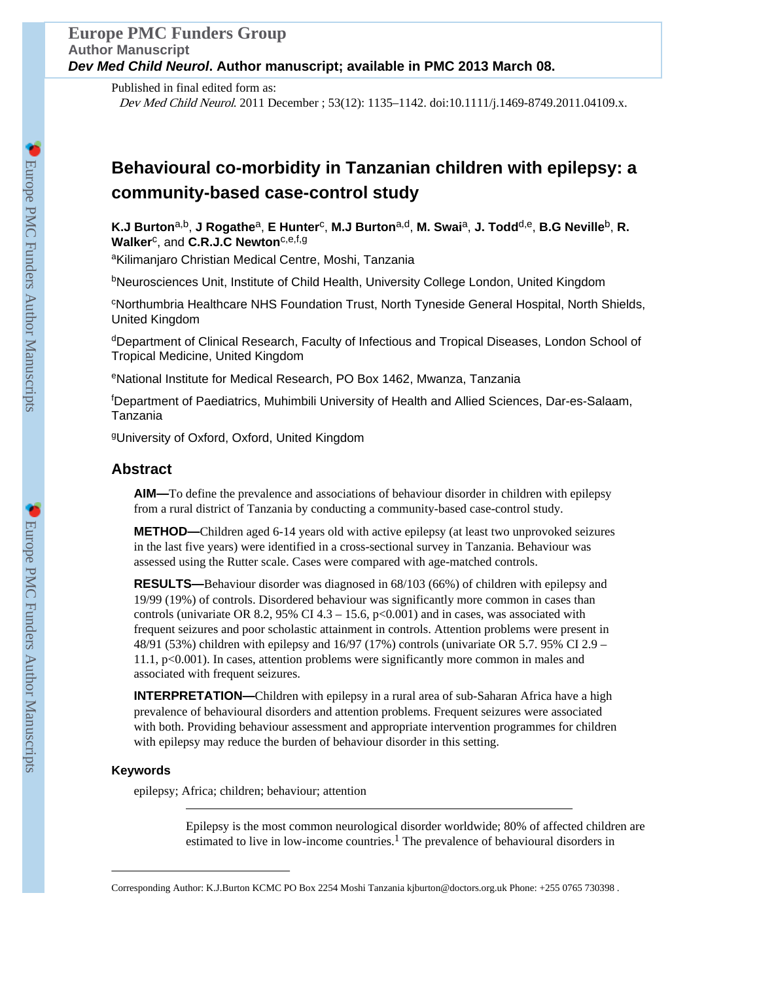Published in final edited form as: Dev Med Child Neurol. 2011 December ; 53(12): 1135–1142. doi:10.1111/j.1469-8749.2011.04109.x.

# **Behavioural co-morbidity in Tanzanian children with epilepsy: a community-based case-control study**

**K.J Burton**a,b, **J Rogathe**a, **E Hunter**<sup>c</sup> , **M.J Burton**a,d, **M. Swai**a, **J. Todd**d,e, **B.G Neville**b, **R. Walker**<sup>c</sup> , and **C.R.J.C Newton**c,e,f,g

aKilimanjaro Christian Medical Centre, Moshi, Tanzania

<sup>b</sup>Neurosciences Unit, Institute of Child Health, University College London, United Kingdom

<sup>c</sup>Northumbria Healthcare NHS Foundation Trust, North Tyneside General Hospital, North Shields, United Kingdom

dDepartment of Clinical Research, Faculty of Infectious and Tropical Diseases, London School of Tropical Medicine, United Kingdom

<sup>e</sup>National Institute for Medical Research, PO Box 1462, Mwanza, Tanzania

<sup>f</sup>Department of Paediatrics, Muhimbili University of Health and Allied Sciences, Dar-es-Salaam, Tanzania

<sup>g</sup>University of Oxford, Oxford, United Kingdom

# **Abstract**

**AIM—**To define the prevalence and associations of behaviour disorder in children with epilepsy from a rural district of Tanzania by conducting a community-based case-control study.

**METHOD—**Children aged 6-14 years old with active epilepsy (at least two unprovoked seizures in the last five years) were identified in a cross-sectional survey in Tanzania. Behaviour was assessed using the Rutter scale. Cases were compared with age-matched controls.

**RESULTS—**Behaviour disorder was diagnosed in 68/103 (66%) of children with epilepsy and 19/99 (19%) of controls. Disordered behaviour was significantly more common in cases than controls (univariate OR 8.2, 95% CI 4.3 – 15.6,  $p<0.001$ ) and in cases, was associated with frequent seizures and poor scholastic attainment in controls. Attention problems were present in 48/91 (53%) children with epilepsy and  $16/97$  (17%) controls (univariate OR 5.7. 95% CI 2.9 – 11.1, p<0.001). In cases, attention problems were significantly more common in males and associated with frequent seizures.

**INTERPRETATION—**Children with epilepsy in a rural area of sub-Saharan Africa have a high prevalence of behavioural disorders and attention problems. Frequent seizures were associated with both. Providing behaviour assessment and appropriate intervention programmes for children with epilepsy may reduce the burden of behaviour disorder in this setting.

# **Keywords**

epilepsy; Africa; children; behaviour; attention

Epilepsy is the most common neurological disorder worldwide; 80% of affected children are estimated to live in low-income countries.<sup>1</sup> The prevalence of behavioural disorders in

Corresponding Author: K.J.Burton KCMC PO Box 2254 Moshi Tanzania kjburton@doctors.org.uk Phone: +255 0765 730398 .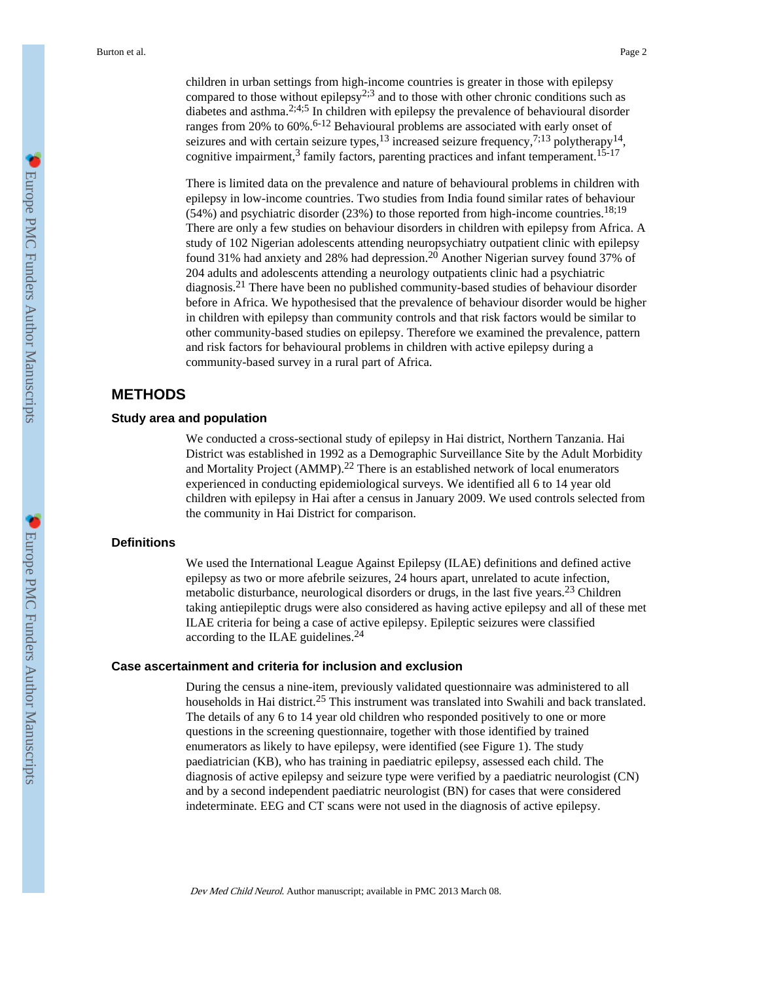children in urban settings from high-income countries is greater in those with epilepsy compared to those without epilepsy<sup>2;3</sup> and to those with other chronic conditions such as diabetes and asthma.2;4;5 In children with epilepsy the prevalence of behavioural disorder ranges from 20% to 60%.<sup>6-12</sup> Behavioural problems are associated with early onset of seizures and with certain seizure types,  $^{13}$  increased seizure frequency,  $^{7;13}$  polytherapy  $^{14}$ , cognitive impairment,<sup>3</sup> family factors, parenting practices and infant temperament.<sup>15-17</sup>

There is limited data on the prevalence and nature of behavioural problems in children with epilepsy in low-income countries. Two studies from India found similar rates of behaviour  $(54%)$  and psychiatric disorder  $(23%)$  to those reported from high-income countries.<sup>18;19</sup> There are only a few studies on behaviour disorders in children with epilepsy from Africa. A study of 102 Nigerian adolescents attending neuropsychiatry outpatient clinic with epilepsy found 31% had anxiety and 28% had depression.20 Another Nigerian survey found 37% of 204 adults and adolescents attending a neurology outpatients clinic had a psychiatric diagnosis.21 There have been no published community-based studies of behaviour disorder before in Africa. We hypothesised that the prevalence of behaviour disorder would be higher in children with epilepsy than community controls and that risk factors would be similar to other community-based studies on epilepsy. Therefore we examined the prevalence, pattern and risk factors for behavioural problems in children with active epilepsy during a community-based survey in a rural part of Africa.

# **METHODS**

#### **Study area and population**

We conducted a cross-sectional study of epilepsy in Hai district, Northern Tanzania. Hai District was established in 1992 as a Demographic Surveillance Site by the Adult Morbidity and Mortality Project  $(AMMP).^{22}$  There is an established network of local enumerators experienced in conducting epidemiological surveys. We identified all 6 to 14 year old children with epilepsy in Hai after a census in January 2009. We used controls selected from the community in Hai District for comparison.

## **Definitions**

We used the International League Against Epilepsy (ILAE) definitions and defined active epilepsy as two or more afebrile seizures, 24 hours apart, unrelated to acute infection, metabolic disturbance, neurological disorders or drugs, in the last five years.23 Children taking antiepileptic drugs were also considered as having active epilepsy and all of these met ILAE criteria for being a case of active epilepsy. Epileptic seizures were classified according to the ILAE guidelines.<sup>24</sup>

## **Case ascertainment and criteria for inclusion and exclusion**

During the census a nine-item, previously validated questionnaire was administered to all households in Hai district.<sup>25</sup> This instrument was translated into Swahili and back translated. The details of any 6 to 14 year old children who responded positively to one or more questions in the screening questionnaire, together with those identified by trained enumerators as likely to have epilepsy, were identified (see Figure 1). The study paediatrician (KB), who has training in paediatric epilepsy, assessed each child. The diagnosis of active epilepsy and seizure type were verified by a paediatric neurologist (CN) and by a second independent paediatric neurologist (BN) for cases that were considered indeterminate. EEG and CT scans were not used in the diagnosis of active epilepsy.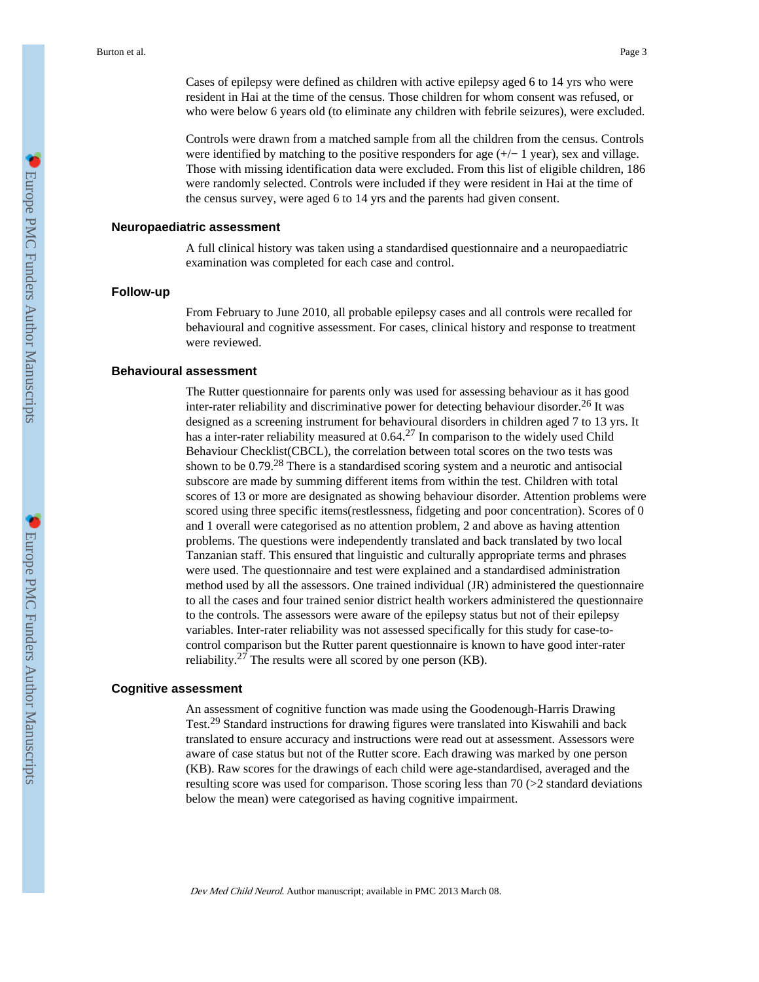Cases of epilepsy were defined as children with active epilepsy aged 6 to 14 yrs who were resident in Hai at the time of the census. Those children for whom consent was refused, or who were below 6 years old (to eliminate any children with febrile seizures), were excluded.

Controls were drawn from a matched sample from all the children from the census. Controls were identified by matching to the positive responders for age  $(+/- 1$  year), sex and village. Those with missing identification data were excluded. From this list of eligible children, 186 were randomly selected. Controls were included if they were resident in Hai at the time of the census survey, were aged 6 to 14 yrs and the parents had given consent.

## **Neuropaediatric assessment**

A full clinical history was taken using a standardised questionnaire and a neuropaediatric examination was completed for each case and control.

# **Follow-up**

From February to June 2010, all probable epilepsy cases and all controls were recalled for behavioural and cognitive assessment. For cases, clinical history and response to treatment were reviewed.

# **Behavioural assessment**

The Rutter questionnaire for parents only was used for assessing behaviour as it has good inter-rater reliability and discriminative power for detecting behaviour disorder.26 It was designed as a screening instrument for behavioural disorders in children aged 7 to 13 yrs. It has a inter-rater reliability measured at  $0.64<sup>27</sup>$  In comparison to the widely used Child Behaviour Checklist(CBCL), the correlation between total scores on the two tests was shown to be  $0.79<sup>28</sup>$  There is a standardised scoring system and a neurotic and antisocial subscore are made by summing different items from within the test. Children with total scores of 13 or more are designated as showing behaviour disorder. Attention problems were scored using three specific items(restlessness, fidgeting and poor concentration). Scores of 0 and 1 overall were categorised as no attention problem, 2 and above as having attention problems. The questions were independently translated and back translated by two local Tanzanian staff. This ensured that linguistic and culturally appropriate terms and phrases were used. The questionnaire and test were explained and a standardised administration method used by all the assessors. One trained individual (JR) administered the questionnaire to all the cases and four trained senior district health workers administered the questionnaire to the controls. The assessors were aware of the epilepsy status but not of their epilepsy variables. Inter-rater reliability was not assessed specifically for this study for case-tocontrol comparison but the Rutter parent questionnaire is known to have good inter-rater reliability.<sup>27</sup> The results were all scored by one person (KB).

#### **Cognitive assessment**

An assessment of cognitive function was made using the Goodenough-Harris Drawing Test.29 Standard instructions for drawing figures were translated into Kiswahili and back translated to ensure accuracy and instructions were read out at assessment. Assessors were aware of case status but not of the Rutter score. Each drawing was marked by one person (KB). Raw scores for the drawings of each child were age-standardised, averaged and the resulting score was used for comparison. Those scoring less than 70 (>2 standard deviations below the mean) were categorised as having cognitive impairment.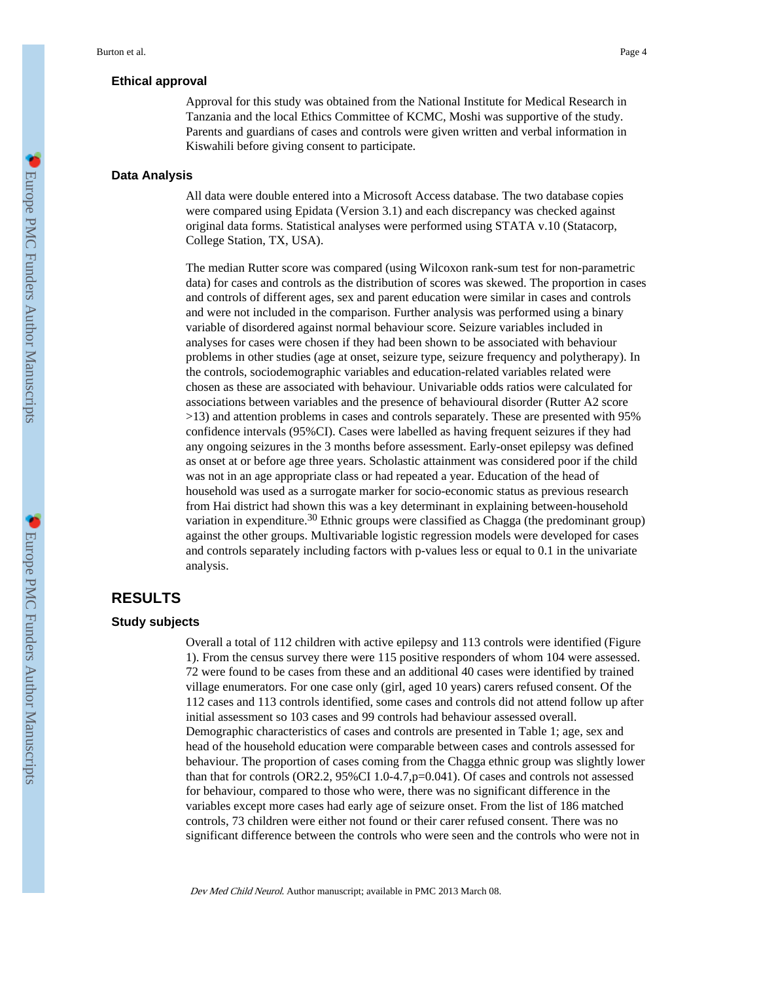#### **Ethical approval**

Approval for this study was obtained from the National Institute for Medical Research in Tanzania and the local Ethics Committee of KCMC, Moshi was supportive of the study. Parents and guardians of cases and controls were given written and verbal information in Kiswahili before giving consent to participate.

#### **Data Analysis**

All data were double entered into a Microsoft Access database. The two database copies were compared using Epidata (Version 3.1) and each discrepancy was checked against original data forms. Statistical analyses were performed using STATA v.10 (Statacorp, College Station, TX, USA).

The median Rutter score was compared (using Wilcoxon rank-sum test for non-parametric data) for cases and controls as the distribution of scores was skewed. The proportion in cases and controls of different ages, sex and parent education were similar in cases and controls and were not included in the comparison. Further analysis was performed using a binary variable of disordered against normal behaviour score. Seizure variables included in analyses for cases were chosen if they had been shown to be associated with behaviour problems in other studies (age at onset, seizure type, seizure frequency and polytherapy). In the controls, sociodemographic variables and education-related variables related were chosen as these are associated with behaviour. Univariable odds ratios were calculated for associations between variables and the presence of behavioural disorder (Rutter A2 score >13) and attention problems in cases and controls separately. These are presented with 95% confidence intervals (95%CI). Cases were labelled as having frequent seizures if they had any ongoing seizures in the 3 months before assessment. Early-onset epilepsy was defined as onset at or before age three years. Scholastic attainment was considered poor if the child was not in an age appropriate class or had repeated a year. Education of the head of household was used as a surrogate marker for socio-economic status as previous research from Hai district had shown this was a key determinant in explaining between-household variation in expenditure.<sup>30</sup> Ethnic groups were classified as Chagga (the predominant group) against the other groups. Multivariable logistic regression models were developed for cases and controls separately including factors with p-values less or equal to 0.1 in the univariate analysis.

# **RESULTS**

#### **Study subjects**

Overall a total of 112 children with active epilepsy and 113 controls were identified (Figure 1). From the census survey there were 115 positive responders of whom 104 were assessed. 72 were found to be cases from these and an additional 40 cases were identified by trained village enumerators. For one case only (girl, aged 10 years) carers refused consent. Of the 112 cases and 113 controls identified, some cases and controls did not attend follow up after initial assessment so 103 cases and 99 controls had behaviour assessed overall. Demographic characteristics of cases and controls are presented in Table 1; age, sex and head of the household education were comparable between cases and controls assessed for behaviour. The proportion of cases coming from the Chagga ethnic group was slightly lower than that for controls (OR2.2, 95%CI 1.0-4.7,p=0.041). Of cases and controls not assessed for behaviour, compared to those who were, there was no significant difference in the variables except more cases had early age of seizure onset. From the list of 186 matched controls, 73 children were either not found or their carer refused consent. There was no significant difference between the controls who were seen and the controls who were not in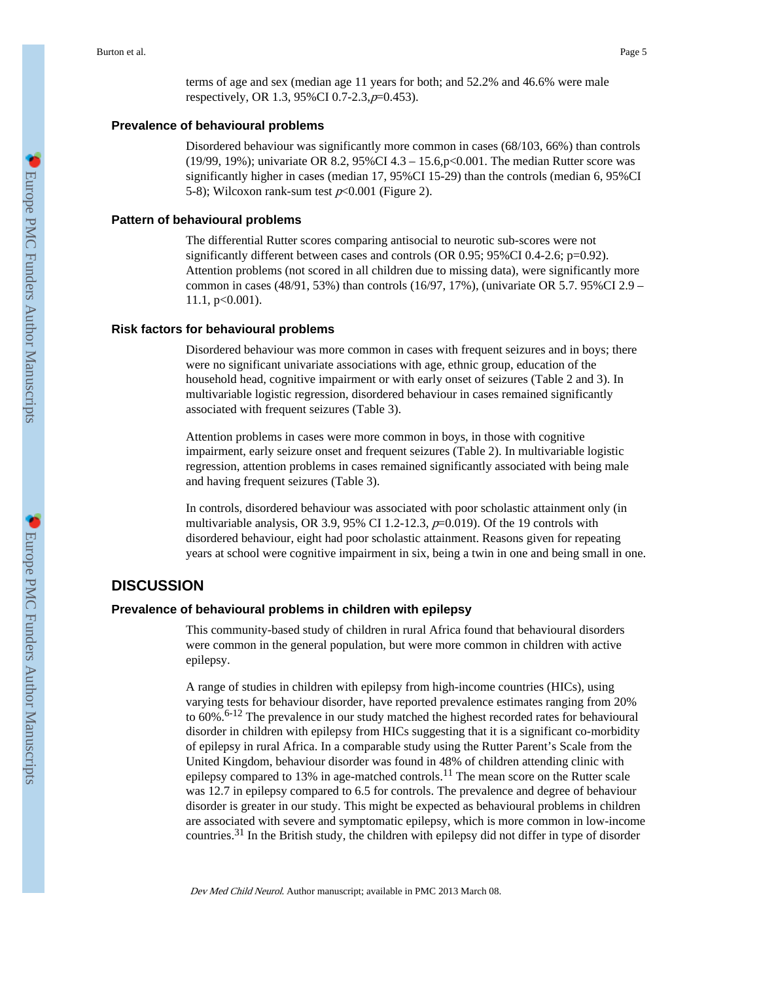terms of age and sex (median age 11 years for both; and 52.2% and 46.6% were male respectively, OR 1.3, 95%CI 0.7-2.3,p=0.453).

# **Prevalence of behavioural problems**

Disordered behaviour was significantly more common in cases (68/103, 66%) than controls (19/99, 19%); univariate OR 8.2, 95%CI 4.3 – 15.6,p<0.001. The median Rutter score was significantly higher in cases (median 17, 95%CI 15-29) than the controls (median 6, 95%CI 5-8); Wilcoxon rank-sum test  $p<0.001$  (Figure 2).

## **Pattern of behavioural problems**

The differential Rutter scores comparing antisocial to neurotic sub-scores were not significantly different between cases and controls  $(OR\ 0.95; 95\% CI\ 0.4-2.6; p=0.92)$ . Attention problems (not scored in all children due to missing data), were significantly more common in cases (48/91, 53%) than controls (16/97, 17%), (univariate OR 5.7. 95%CI 2.9 – 11.1, p<0.001).

#### **Risk factors for behavioural problems**

Disordered behaviour was more common in cases with frequent seizures and in boys; there were no significant univariate associations with age, ethnic group, education of the household head, cognitive impairment or with early onset of seizures (Table 2 and 3). In multivariable logistic regression, disordered behaviour in cases remained significantly associated with frequent seizures (Table 3).

Attention problems in cases were more common in boys, in those with cognitive impairment, early seizure onset and frequent seizures (Table 2). In multivariable logistic regression, attention problems in cases remained significantly associated with being male and having frequent seizures (Table 3).

In controls, disordered behaviour was associated with poor scholastic attainment only (in multivariable analysis, OR 3.9, 95% CI 1.2-12.3,  $p=0.019$ ). Of the 19 controls with disordered behaviour, eight had poor scholastic attainment. Reasons given for repeating years at school were cognitive impairment in six, being a twin in one and being small in one.

# **DISCUSSION**

# **Prevalence of behavioural problems in children with epilepsy**

This community-based study of children in rural Africa found that behavioural disorders were common in the general population, but were more common in children with active epilepsy.

A range of studies in children with epilepsy from high-income countries (HICs), using varying tests for behaviour disorder, have reported prevalence estimates ranging from 20% to 60%.6-12 The prevalence in our study matched the highest recorded rates for behavioural disorder in children with epilepsy from HICs suggesting that it is a significant co-morbidity of epilepsy in rural Africa. In a comparable study using the Rutter Parent's Scale from the United Kingdom, behaviour disorder was found in 48% of children attending clinic with epilepsy compared to 13% in age-matched controls.<sup>11</sup> The mean score on the Rutter scale was 12.7 in epilepsy compared to 6.5 for controls. The prevalence and degree of behaviour disorder is greater in our study. This might be expected as behavioural problems in children are associated with severe and symptomatic epilepsy, which is more common in low-income countries.<sup>31</sup> In the British study, the children with epilepsy did not differ in type of disorder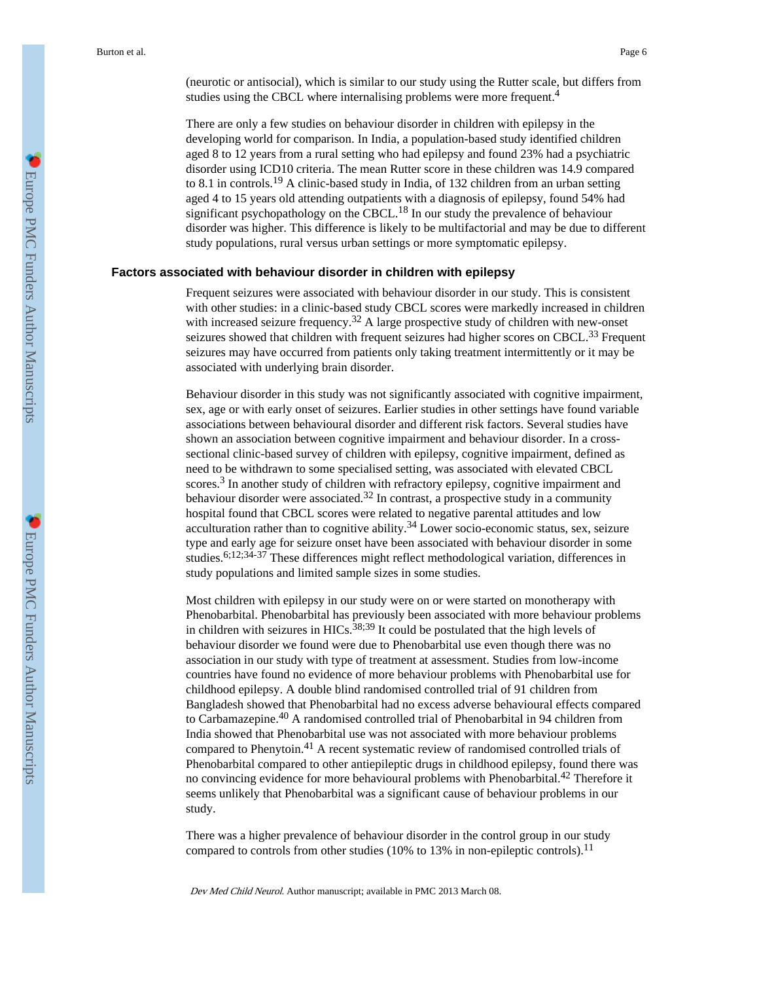(neurotic or antisocial), which is similar to our study using the Rutter scale, but differs from studies using the CBCL where internalising problems were more frequent.<sup>4</sup>

There are only a few studies on behaviour disorder in children with epilepsy in the developing world for comparison. In India, a population-based study identified children aged 8 to 12 years from a rural setting who had epilepsy and found 23% had a psychiatric disorder using ICD10 criteria. The mean Rutter score in these children was 14.9 compared to 8.1 in controls.<sup>19</sup> A clinic-based study in India, of 132 children from an urban setting aged 4 to 15 years old attending outpatients with a diagnosis of epilepsy, found 54% had significant psychopathology on the CBCL.18 In our study the prevalence of behaviour disorder was higher. This difference is likely to be multifactorial and may be due to different study populations, rural versus urban settings or more symptomatic epilepsy.

## **Factors associated with behaviour disorder in children with epilepsy**

Frequent seizures were associated with behaviour disorder in our study. This is consistent with other studies: in a clinic-based study CBCL scores were markedly increased in children with increased seizure frequency.<sup>32</sup> A large prospective study of children with new-onset seizures showed that children with frequent seizures had higher scores on CBCL.<sup>33</sup> Frequent seizures may have occurred from patients only taking treatment intermittently or it may be associated with underlying brain disorder.

Behaviour disorder in this study was not significantly associated with cognitive impairment, sex, age or with early onset of seizures. Earlier studies in other settings have found variable associations between behavioural disorder and different risk factors. Several studies have shown an association between cognitive impairment and behaviour disorder. In a crosssectional clinic-based survey of children with epilepsy, cognitive impairment, defined as need to be withdrawn to some specialised setting, was associated with elevated CBCL scores.<sup>3</sup> In another study of children with refractory epilepsy, cognitive impairment and behaviour disorder were associated.<sup>32</sup> In contrast, a prospective study in a community hospital found that CBCL scores were related to negative parental attitudes and low acculturation rather than to cognitive ability.<sup>34</sup> Lower socio-economic status, sex, seizure type and early age for seizure onset have been associated with behaviour disorder in some studies.<sup>6;12;34-37</sup> These differences might reflect methodological variation, differences in study populations and limited sample sizes in some studies.

Most children with epilepsy in our study were on or were started on monotherapy with Phenobarbital. Phenobarbital has previously been associated with more behaviour problems in children with seizures in HICs.<sup>38;39</sup> It could be postulated that the high levels of behaviour disorder we found were due to Phenobarbital use even though there was no association in our study with type of treatment at assessment. Studies from low-income countries have found no evidence of more behaviour problems with Phenobarbital use for childhood epilepsy. A double blind randomised controlled trial of 91 children from Bangladesh showed that Phenobarbital had no excess adverse behavioural effects compared to Carbamazepine.40 A randomised controlled trial of Phenobarbital in 94 children from India showed that Phenobarbital use was not associated with more behaviour problems compared to Phenytoin.41 A recent systematic review of randomised controlled trials of Phenobarbital compared to other antiepileptic drugs in childhood epilepsy, found there was no convincing evidence for more behavioural problems with Phenobarbital.<sup>42</sup> Therefore it seems unlikely that Phenobarbital was a significant cause of behaviour problems in our study.

There was a higher prevalence of behaviour disorder in the control group in our study compared to controls from other studies (10% to 13% in non-epileptic controls).<sup>11</sup>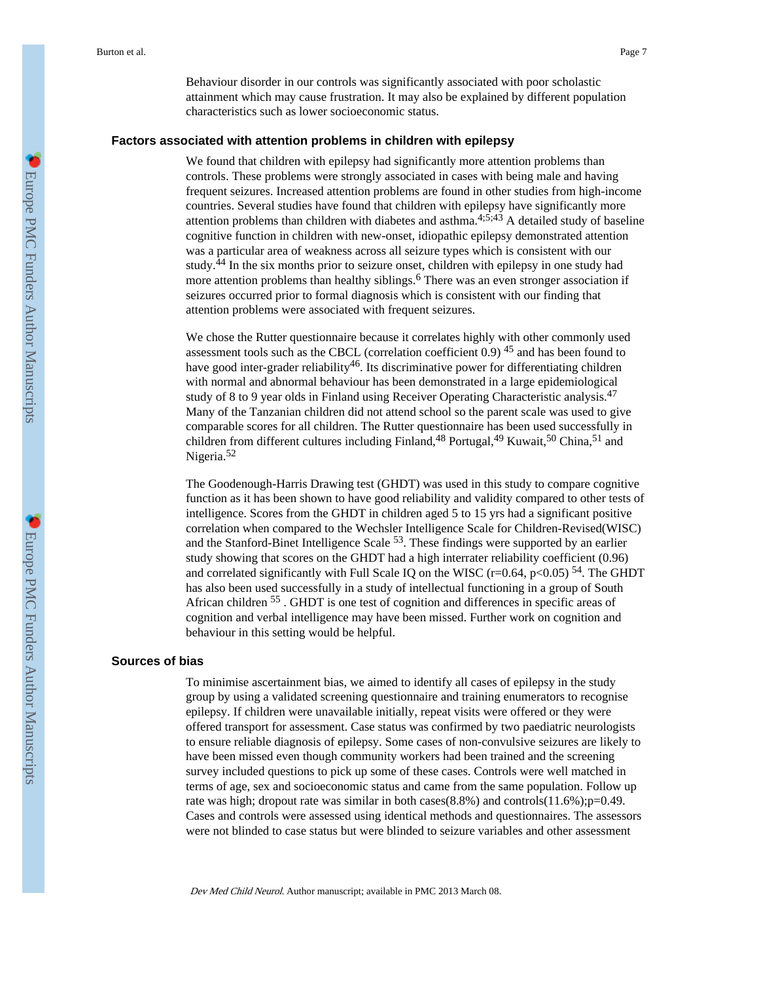Behaviour disorder in our controls was significantly associated with poor scholastic attainment which may cause frustration. It may also be explained by different population characteristics such as lower socioeconomic status.

#### **Factors associated with attention problems in children with epilepsy**

We found that children with epilepsy had significantly more attention problems than controls. These problems were strongly associated in cases with being male and having frequent seizures. Increased attention problems are found in other studies from high-income countries. Several studies have found that children with epilepsy have significantly more attention problems than children with diabetes and asthma.<sup>4;5;43</sup> A detailed study of baseline cognitive function in children with new-onset, idiopathic epilepsy demonstrated attention was a particular area of weakness across all seizure types which is consistent with our study.44 In the six months prior to seizure onset, children with epilepsy in one study had more attention problems than healthy siblings.<sup>6</sup> There was an even stronger association if seizures occurred prior to formal diagnosis which is consistent with our finding that attention problems were associated with frequent seizures.

We chose the Rutter questionnaire because it correlates highly with other commonly used assessment tools such as the CBCL (correlation coefficient  $0.9$ )  $45$  and has been found to have good inter-grader reliability<sup>46</sup>. Its discriminative power for differentiating children with normal and abnormal behaviour has been demonstrated in a large epidemiological study of 8 to 9 year olds in Finland using Receiver Operating Characteristic analysis.<sup>47</sup> Many of the Tanzanian children did not attend school so the parent scale was used to give comparable scores for all children. The Rutter questionnaire has been used successfully in children from different cultures including Finland,  $48$  Portugal,  $49$  Kuwait,  $50$  China,  $51$  and Nigeria.<sup>52</sup>

The Goodenough-Harris Drawing test (GHDT) was used in this study to compare cognitive function as it has been shown to have good reliability and validity compared to other tests of intelligence. Scores from the GHDT in children aged 5 to 15 yrs had a significant positive correlation when compared to the Wechsler Intelligence Scale for Children-Revised(WISC) and the Stanford-Binet Intelligence Scale 53. These findings were supported by an earlier study showing that scores on the GHDT had a high interrater reliability coefficient (0.96) and correlated significantly with Full Scale IQ on the WISC (r=0.64, p<0.05)  $^{54}$ . The GHDT has also been used successfully in a study of intellectual functioning in a group of South African children 55 . GHDT is one test of cognition and differences in specific areas of cognition and verbal intelligence may have been missed. Further work on cognition and behaviour in this setting would be helpful.

## **Sources of bias**

To minimise ascertainment bias, we aimed to identify all cases of epilepsy in the study group by using a validated screening questionnaire and training enumerators to recognise epilepsy. If children were unavailable initially, repeat visits were offered or they were offered transport for assessment. Case status was confirmed by two paediatric neurologists to ensure reliable diagnosis of epilepsy. Some cases of non-convulsive seizures are likely to have been missed even though community workers had been trained and the screening survey included questions to pick up some of these cases. Controls were well matched in terms of age, sex and socioeconomic status and came from the same population. Follow up rate was high; dropout rate was similar in both cases $(8.8%)$  and controls $(11.6%)$ ;  $p=0.49$ . Cases and controls were assessed using identical methods and questionnaires. The assessors were not blinded to case status but were blinded to seizure variables and other assessment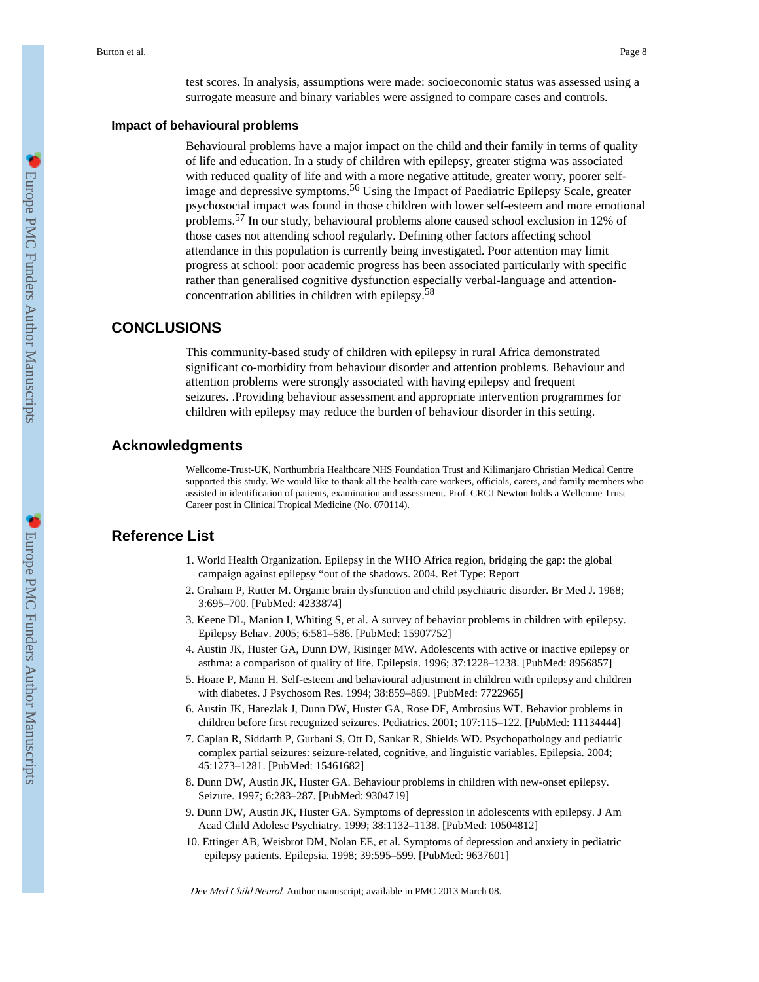test scores. In analysis, assumptions were made: socioeconomic status was assessed using a surrogate measure and binary variables were assigned to compare cases and controls.

# **Impact of behavioural problems**

Behavioural problems have a major impact on the child and their family in terms of quality of life and education. In a study of children with epilepsy, greater stigma was associated with reduced quality of life and with a more negative attitude, greater worry, poorer selfimage and depressive symptoms.<sup>56</sup> Using the Impact of Paediatric Epilepsy Scale, greater psychosocial impact was found in those children with lower self-esteem and more emotional problems.57 In our study, behavioural problems alone caused school exclusion in 12% of those cases not attending school regularly. Defining other factors affecting school attendance in this population is currently being investigated. Poor attention may limit progress at school: poor academic progress has been associated particularly with specific rather than generalised cognitive dysfunction especially verbal-language and attentionconcentration abilities in children with epilepsy.<sup>58</sup>

# **CONCLUSIONS**

This community-based study of children with epilepsy in rural Africa demonstrated significant co-morbidity from behaviour disorder and attention problems. Behaviour and attention problems were strongly associated with having epilepsy and frequent seizures. .Providing behaviour assessment and appropriate intervention programmes for children with epilepsy may reduce the burden of behaviour disorder in this setting.

# **Acknowledgments**

Wellcome-Trust-UK, Northumbria Healthcare NHS Foundation Trust and Kilimanjaro Christian Medical Centre supported this study. We would like to thank all the health-care workers, officials, carers, and family members who assisted in identification of patients, examination and assessment. Prof. CRCJ Newton holds a Wellcome Trust Career post in Clinical Tropical Medicine (No. 070114).

# **Reference List**

- 1. World Health Organization. Epilepsy in the WHO Africa region, bridging the gap: the global campaign against epilepsy "out of the shadows. 2004. Ref Type: Report
- 2. Graham P, Rutter M. Organic brain dysfunction and child psychiatric disorder. Br Med J. 1968; 3:695–700. [PubMed: 4233874]
- 3. Keene DL, Manion I, Whiting S, et al. A survey of behavior problems in children with epilepsy. Epilepsy Behav. 2005; 6:581–586. [PubMed: 15907752]
- 4. Austin JK, Huster GA, Dunn DW, Risinger MW. Adolescents with active or inactive epilepsy or asthma: a comparison of quality of life. Epilepsia. 1996; 37:1228–1238. [PubMed: 8956857]
- 5. Hoare P, Mann H. Self-esteem and behavioural adjustment in children with epilepsy and children with diabetes. J Psychosom Res. 1994; 38:859–869. [PubMed: 7722965]
- 6. Austin JK, Harezlak J, Dunn DW, Huster GA, Rose DF, Ambrosius WT. Behavior problems in children before first recognized seizures. Pediatrics. 2001; 107:115–122. [PubMed: 11134444]
- 7. Caplan R, Siddarth P, Gurbani S, Ott D, Sankar R, Shields WD. Psychopathology and pediatric complex partial seizures: seizure-related, cognitive, and linguistic variables. Epilepsia. 2004; 45:1273–1281. [PubMed: 15461682]
- 8. Dunn DW, Austin JK, Huster GA. Behaviour problems in children with new-onset epilepsy. Seizure. 1997; 6:283–287. [PubMed: 9304719]
- 9. Dunn DW, Austin JK, Huster GA. Symptoms of depression in adolescents with epilepsy. J Am Acad Child Adolesc Psychiatry. 1999; 38:1132–1138. [PubMed: 10504812]
- 10. Ettinger AB, Weisbrot DM, Nolan EE, et al. Symptoms of depression and anxiety in pediatric epilepsy patients. Epilepsia. 1998; 39:595–599. [PubMed: 9637601]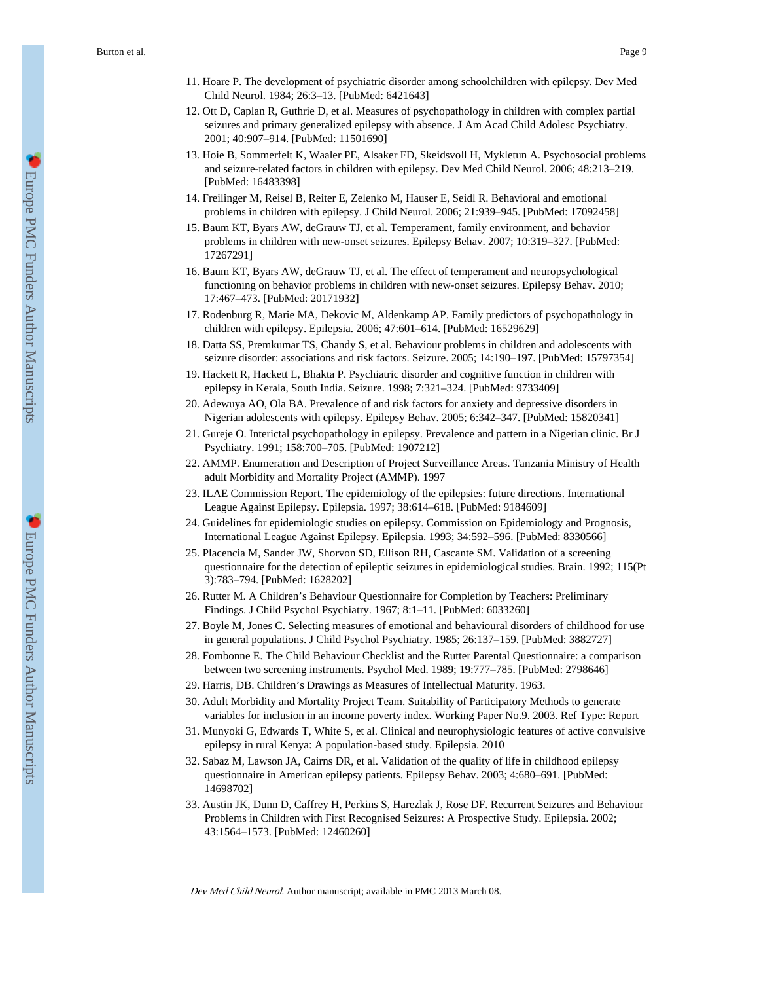- 11. Hoare P. The development of psychiatric disorder among schoolchildren with epilepsy. Dev Med Child Neurol. 1984; 26:3–13. [PubMed: 6421643]
- 12. Ott D, Caplan R, Guthrie D, et al. Measures of psychopathology in children with complex partial seizures and primary generalized epilepsy with absence. J Am Acad Child Adolesc Psychiatry. 2001; 40:907–914. [PubMed: 11501690]
- 13. Hoie B, Sommerfelt K, Waaler PE, Alsaker FD, Skeidsvoll H, Mykletun A. Psychosocial problems and seizure-related factors in children with epilepsy. Dev Med Child Neurol. 2006; 48:213–219. [PubMed: 16483398]
- 14. Freilinger M, Reisel B, Reiter E, Zelenko M, Hauser E, Seidl R. Behavioral and emotional problems in children with epilepsy. J Child Neurol. 2006; 21:939–945. [PubMed: 17092458]
- 15. Baum KT, Byars AW, deGrauw TJ, et al. Temperament, family environment, and behavior problems in children with new-onset seizures. Epilepsy Behav. 2007; 10:319–327. [PubMed: 17267291]
- 16. Baum KT, Byars AW, deGrauw TJ, et al. The effect of temperament and neuropsychological functioning on behavior problems in children with new-onset seizures. Epilepsy Behav. 2010; 17:467–473. [PubMed: 20171932]
- 17. Rodenburg R, Marie MA, Dekovic M, Aldenkamp AP. Family predictors of psychopathology in children with epilepsy. Epilepsia. 2006; 47:601–614. [PubMed: 16529629]
- 18. Datta SS, Premkumar TS, Chandy S, et al. Behaviour problems in children and adolescents with seizure disorder: associations and risk factors. Seizure. 2005; 14:190–197. [PubMed: 15797354]
- 19. Hackett R, Hackett L, Bhakta P. Psychiatric disorder and cognitive function in children with epilepsy in Kerala, South India. Seizure. 1998; 7:321–324. [PubMed: 9733409]
- 20. Adewuya AO, Ola BA. Prevalence of and risk factors for anxiety and depressive disorders in Nigerian adolescents with epilepsy. Epilepsy Behav. 2005; 6:342–347. [PubMed: 15820341]
- 21. Gureje O. Interictal psychopathology in epilepsy. Prevalence and pattern in a Nigerian clinic. Br J Psychiatry. 1991; 158:700–705. [PubMed: 1907212]
- 22. AMMP. Enumeration and Description of Project Surveillance Areas. Tanzania Ministry of Health adult Morbidity and Mortality Project (AMMP). 1997
- 23. ILAE Commission Report. The epidemiology of the epilepsies: future directions. International League Against Epilepsy. Epilepsia. 1997; 38:614–618. [PubMed: 9184609]
- 24. Guidelines for epidemiologic studies on epilepsy. Commission on Epidemiology and Prognosis, International League Against Epilepsy. Epilepsia. 1993; 34:592–596. [PubMed: 8330566]
- 25. Placencia M, Sander JW, Shorvon SD, Ellison RH, Cascante SM. Validation of a screening questionnaire for the detection of epileptic seizures in epidemiological studies. Brain. 1992; 115(Pt 3):783–794. [PubMed: 1628202]
- 26. Rutter M. A Children's Behaviour Questionnaire for Completion by Teachers: Preliminary Findings. J Child Psychol Psychiatry. 1967; 8:1–11. [PubMed: 6033260]
- 27. Boyle M, Jones C. Selecting measures of emotional and behavioural disorders of childhood for use in general populations. J Child Psychol Psychiatry. 1985; 26:137–159. [PubMed: 3882727]
- 28. Fombonne E. The Child Behaviour Checklist and the Rutter Parental Questionnaire: a comparison between two screening instruments. Psychol Med. 1989; 19:777–785. [PubMed: 2798646]
- 29. Harris, DB. Children's Drawings as Measures of Intellectual Maturity. 1963.
- 30. Adult Morbidity and Mortality Project Team. Suitability of Participatory Methods to generate variables for inclusion in an income poverty index. Working Paper No.9. 2003. Ref Type: Report
- 31. Munyoki G, Edwards T, White S, et al. Clinical and neurophysiologic features of active convulsive epilepsy in rural Kenya: A population-based study. Epilepsia. 2010
- 32. Sabaz M, Lawson JA, Cairns DR, et al. Validation of the quality of life in childhood epilepsy questionnaire in American epilepsy patients. Epilepsy Behav. 2003; 4:680–691. [PubMed: 14698702]
- 33. Austin JK, Dunn D, Caffrey H, Perkins S, Harezlak J, Rose DF. Recurrent Seizures and Behaviour Problems in Children with First Recognised Seizures: A Prospective Study. Epilepsia. 2002; 43:1564–1573. [PubMed: 12460260]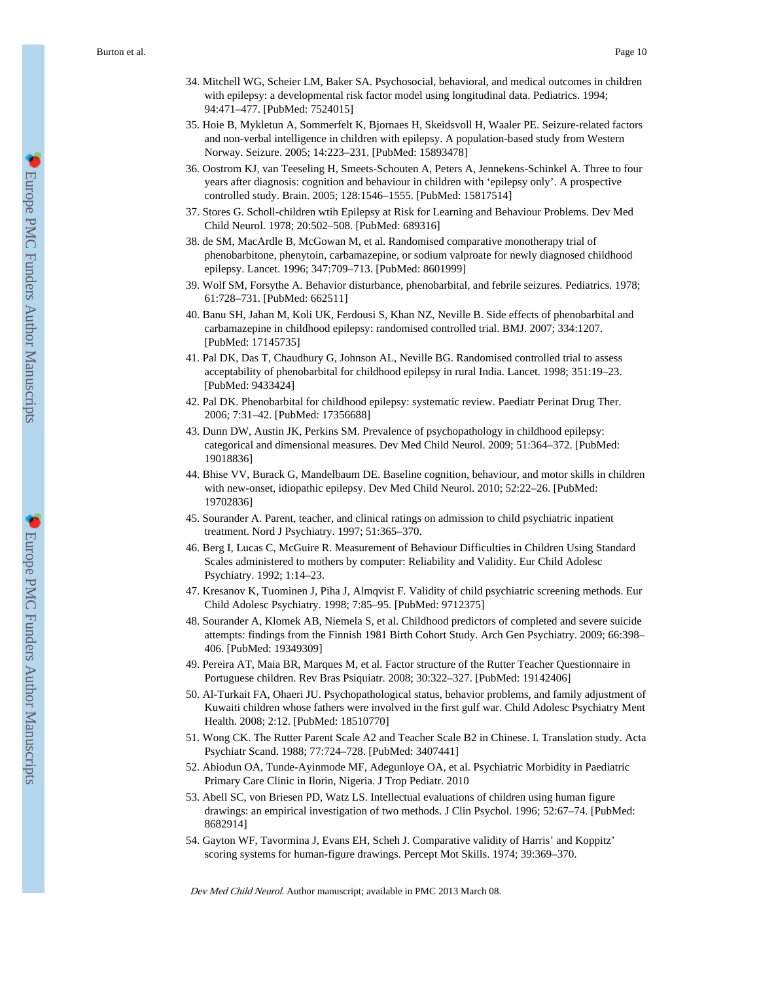- 34. Mitchell WG, Scheier LM, Baker SA. Psychosocial, behavioral, and medical outcomes in children with epilepsy: a developmental risk factor model using longitudinal data. Pediatrics. 1994; 94:471–477. [PubMed: 7524015]
- 35. Hoie B, Mykletun A, Sommerfelt K, Bjornaes H, Skeidsvoll H, Waaler PE. Seizure-related factors and non-verbal intelligence in children with epilepsy. A population-based study from Western Norway. Seizure. 2005; 14:223–231. [PubMed: 15893478]
- 36. Oostrom KJ, van Teeseling H, Smeets-Schouten A, Peters A, Jennekens-Schinkel A. Three to four years after diagnosis: cognition and behaviour in children with 'epilepsy only'. A prospective controlled study. Brain. 2005; 128:1546–1555. [PubMed: 15817514]
- 37. Stores G. Scholl-children wtih Epilepsy at Risk for Learning and Behaviour Problems. Dev Med Child Neurol. 1978; 20:502–508. [PubMed: 689316]
- 38. de SM, MacArdle B, McGowan M, et al. Randomised comparative monotherapy trial of phenobarbitone, phenytoin, carbamazepine, or sodium valproate for newly diagnosed childhood epilepsy. Lancet. 1996; 347:709–713. [PubMed: 8601999]
- 39. Wolf SM, Forsythe A. Behavior disturbance, phenobarbital, and febrile seizures. Pediatrics. 1978; 61:728–731. [PubMed: 662511]
- 40. Banu SH, Jahan M, Koli UK, Ferdousi S, Khan NZ, Neville B. Side effects of phenobarbital and carbamazepine in childhood epilepsy: randomised controlled trial. BMJ. 2007; 334:1207. [PubMed: 17145735]
- 41. Pal DK, Das T, Chaudhury G, Johnson AL, Neville BG. Randomised controlled trial to assess acceptability of phenobarbital for childhood epilepsy in rural India. Lancet. 1998; 351:19–23. [PubMed: 9433424]
- 42. Pal DK. Phenobarbital for childhood epilepsy: systematic review. Paediatr Perinat Drug Ther. 2006; 7:31–42. [PubMed: 17356688]
- 43. Dunn DW, Austin JK, Perkins SM. Prevalence of psychopathology in childhood epilepsy: categorical and dimensional measures. Dev Med Child Neurol. 2009; 51:364–372. [PubMed: 19018836]
- 44. Bhise VV, Burack G, Mandelbaum DE. Baseline cognition, behaviour, and motor skills in children with new-onset, idiopathic epilepsy. Dev Med Child Neurol. 2010; 52:22–26. [PubMed: 19702836]
- 45. Sourander A. Parent, teacher, and clinical ratings on admission to child psychiatric inpatient treatment. Nord J Psychiatry. 1997; 51:365–370.
- 46. Berg I, Lucas C, McGuire R. Measurement of Behaviour Difficulties in Children Using Standard Scales administered to mothers by computer: Reliability and Validity. Eur Child Adolesc Psychiatry. 1992; 1:14–23.
- 47. Kresanov K, Tuominen J, Piha J, Almqvist F. Validity of child psychiatric screening methods. Eur Child Adolesc Psychiatry. 1998; 7:85–95. [PubMed: 9712375]
- 48. Sourander A, Klomek AB, Niemela S, et al. Childhood predictors of completed and severe suicide attempts: findings from the Finnish 1981 Birth Cohort Study. Arch Gen Psychiatry. 2009; 66:398– 406. [PubMed: 19349309]
- 49. Pereira AT, Maia BR, Marques M, et al. Factor structure of the Rutter Teacher Questionnaire in Portuguese children. Rev Bras Psiquiatr. 2008; 30:322–327. [PubMed: 19142406]
- 50. Al-Turkait FA, Ohaeri JU. Psychopathological status, behavior problems, and family adjustment of Kuwaiti children whose fathers were involved in the first gulf war. Child Adolesc Psychiatry Ment Health. 2008; 2:12. [PubMed: 18510770]
- 51. Wong CK. The Rutter Parent Scale A2 and Teacher Scale B2 in Chinese. I. Translation study. Acta Psychiatr Scand. 1988; 77:724–728. [PubMed: 3407441]
- 52. Abiodun OA, Tunde-Ayinmode MF, Adegunloye OA, et al. Psychiatric Morbidity in Paediatric Primary Care Clinic in Ilorin, Nigeria. J Trop Pediatr. 2010
- 53. Abell SC, von Briesen PD, Watz LS. Intellectual evaluations of children using human figure drawings: an empirical investigation of two methods. J Clin Psychol. 1996; 52:67–74. [PubMed: 8682914]
- 54. Gayton WF, Tavormina J, Evans EH, Scheh J. Comparative validity of Harris' and Koppitz' scoring systems for human-figure drawings. Percept Mot Skills. 1974; 39:369–370.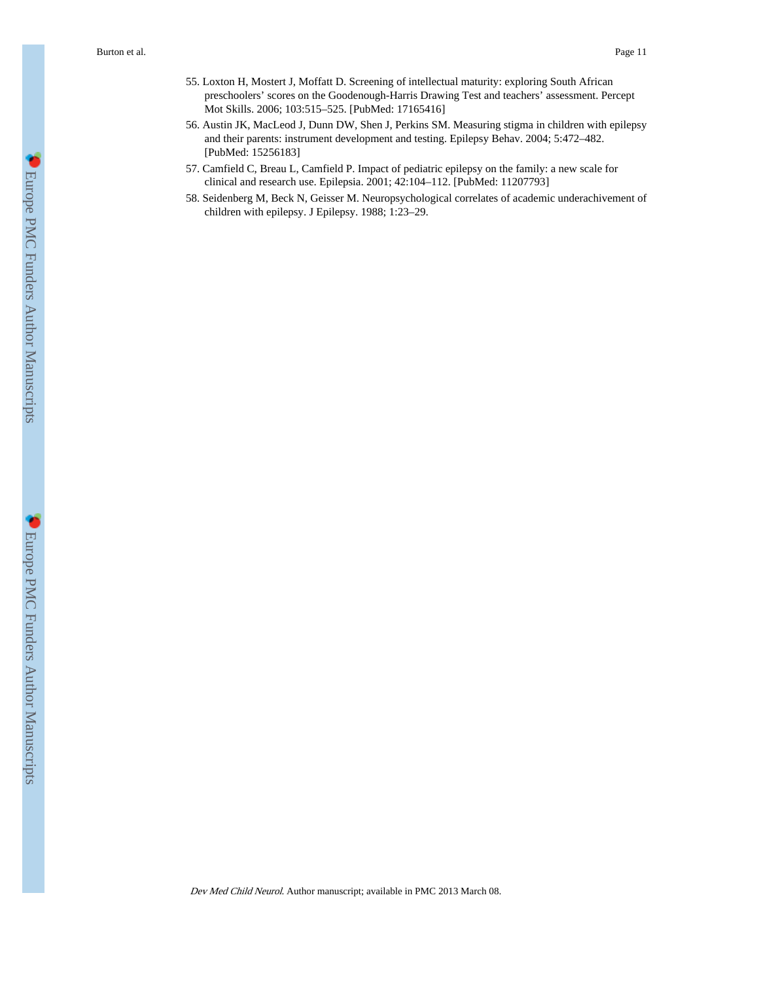- 55. Loxton H, Mostert J, Moffatt D. Screening of intellectual maturity: exploring South African preschoolers' scores on the Goodenough-Harris Drawing Test and teachers' assessment. Percept Mot Skills. 2006; 103:515–525. [PubMed: 17165416]
- 56. Austin JK, MacLeod J, Dunn DW, Shen J, Perkins SM. Measuring stigma in children with epilepsy and their parents: instrument development and testing. Epilepsy Behav. 2004; 5:472–482. [PubMed: 15256183]
- 57. Camfield C, Breau L, Camfield P. Impact of pediatric epilepsy on the family: a new scale for clinical and research use. Epilepsia. 2001; 42:104–112. [PubMed: 11207793]
- 58. Seidenberg M, Beck N, Geisser M. Neuropsychological correlates of academic underachivement of children with epilepsy. J Epilepsy. 1988; 1:23–29.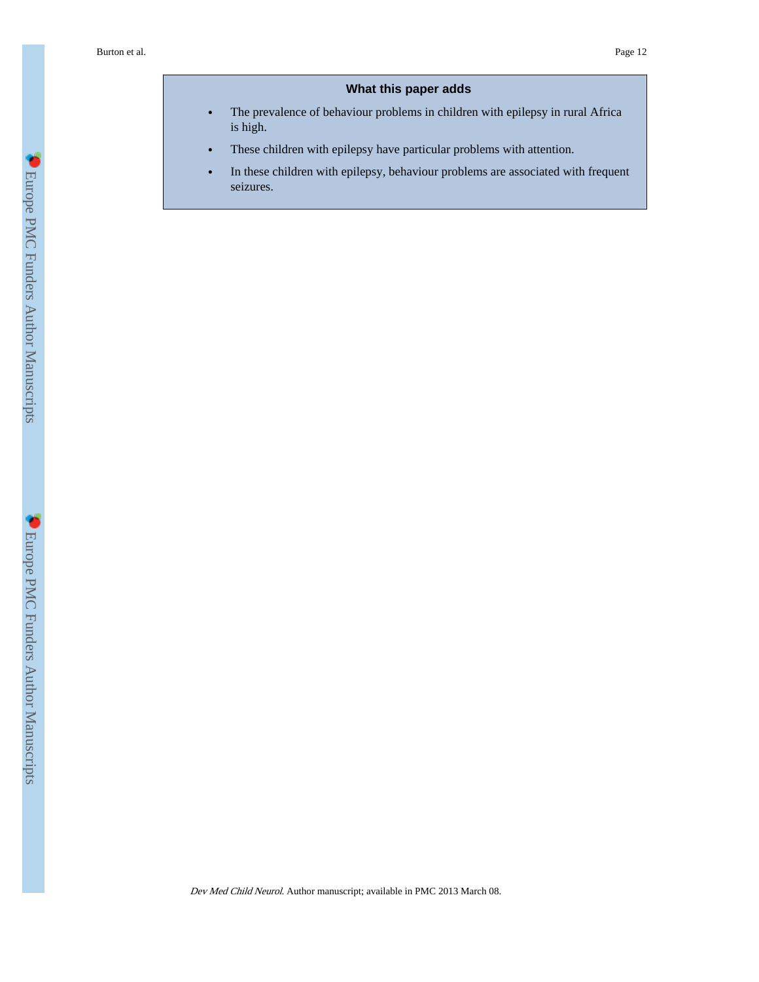# **What this paper adds**

- **•** The prevalence of behaviour problems in children with epilepsy in rural Africa is high.
- **•** These children with epilepsy have particular problems with attention.
- **•** In these children with epilepsy, behaviour problems are associated with frequent seizures.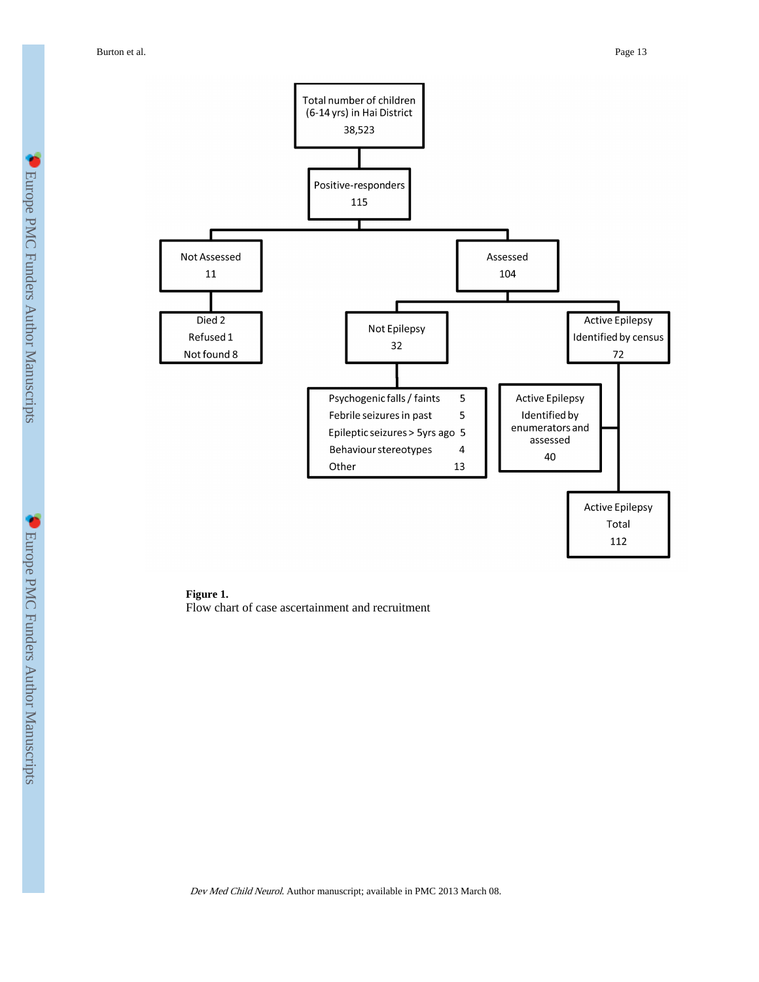Burton et al. Page 13



**Figure 1.** Flow chart of case ascertainment and recruitment

Dev Med Child Neurol. Author manuscript; available in PMC 2013 March 08.

**C** Europe PMC Funders Author Manuscripts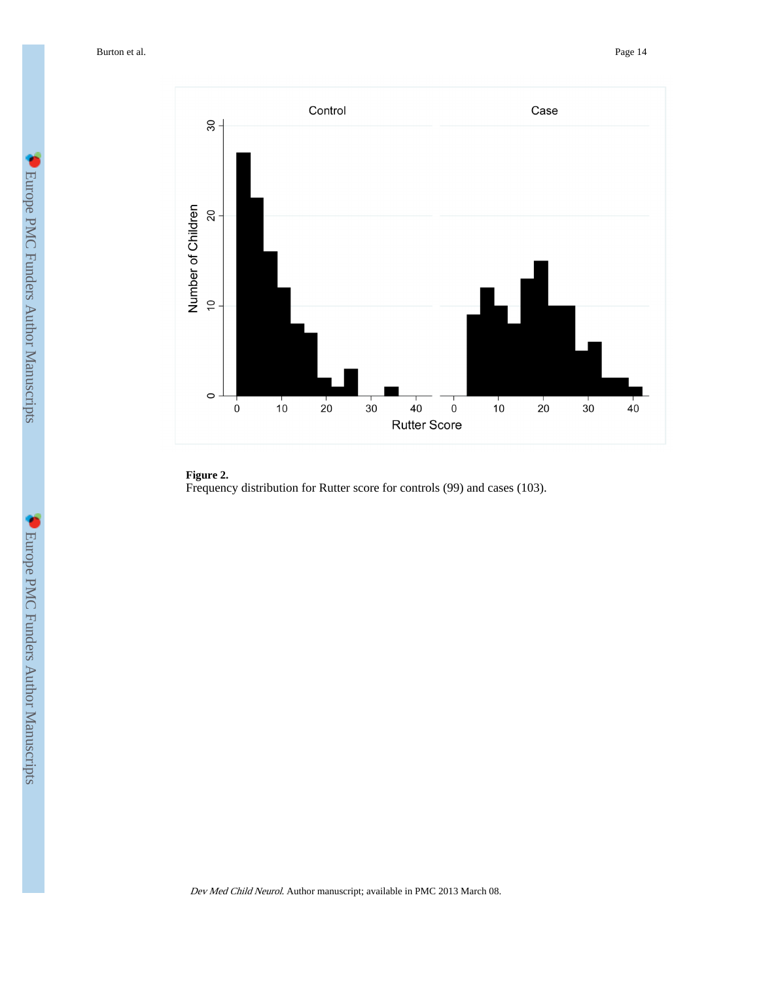

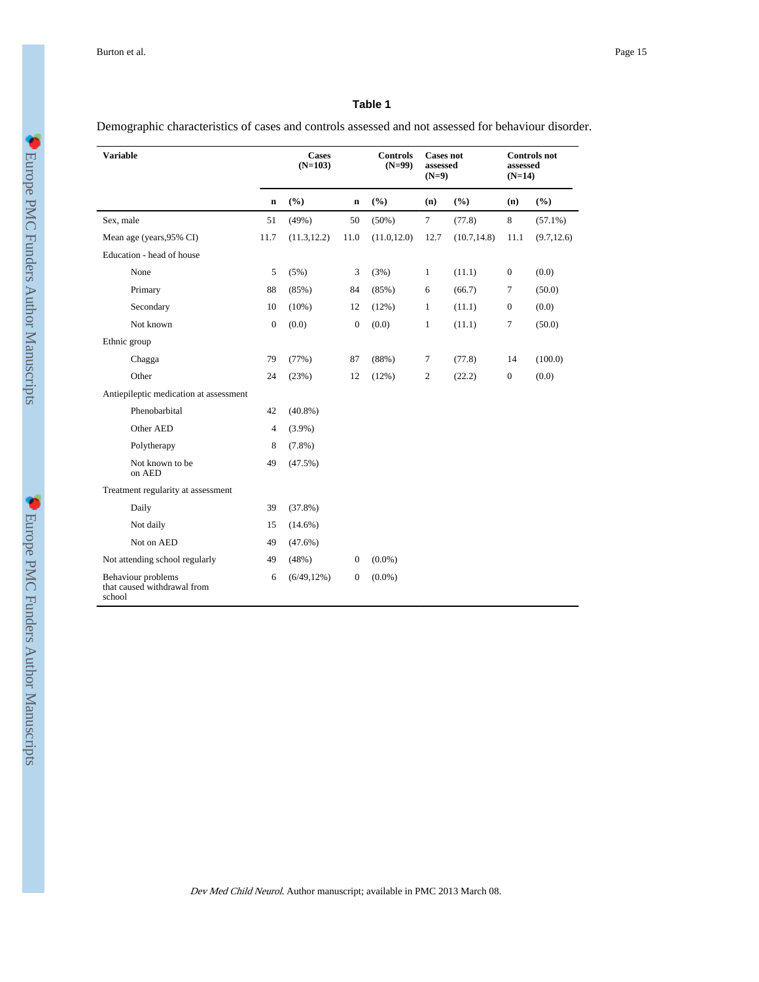## **Table 1**

Demographic characteristics of cases and controls assessed and not assessed for behaviour disorder.

| <b>Variable</b>                                             | <b>Cases</b><br>$(N=103)$ |                |              | <b>Controls</b><br><b>Cases not</b><br>$(N=99)$<br>assessed<br>$(N=9)$ |              |              | <b>Controls</b> not<br>assessed<br>$(N=14)$ |             |
|-------------------------------------------------------------|---------------------------|----------------|--------------|------------------------------------------------------------------------|--------------|--------------|---------------------------------------------|-------------|
|                                                             | $\bf n$                   | (%)            | $\mathbf n$  | (%)                                                                    | (n)          | (%)          | (n)                                         | (%)         |
| Sex, male                                                   | 51                        | (49%)          | 50           | $(50\%)$                                                               | $\tau$       | (77.8)       | 8                                           | $(57.1\%)$  |
| Mean age (years, 95% CI)                                    | 11.7                      | (11.3, 12.2)   | 11.0         | (11.0, 12.0)                                                           | 12.7         | (10.7, 14.8) | 11.1                                        | (9.7, 12.6) |
| Education - head of house                                   |                           |                |              |                                                                        |              |              |                                             |             |
| None                                                        | 5                         | (5%)           | 3            | (3%)                                                                   | $\mathbf{1}$ | (11.1)       | $\boldsymbol{0}$                            | (0.0)       |
| Primary                                                     | 88                        | (85%)          | 84           | (85%)                                                                  | 6            | (66.7)       | $\tau$                                      | (50.0)      |
| Secondary                                                   | 10                        | $(10\%)$       | 12           | (12%)                                                                  | $\mathbf{1}$ | (11.1)       | $\boldsymbol{0}$                            | (0.0)       |
| Not known                                                   | $\mathbf{0}$              | (0.0)          | $\mathbf{0}$ | (0.0)                                                                  | $\mathbf{1}$ | (11.1)       | $\overline{7}$                              | (50.0)      |
| Ethnic group                                                |                           |                |              |                                                                        |              |              |                                             |             |
| Chagga                                                      | 79                        | (77%)          | 87           | (88%)                                                                  | 7            | (77.8)       | 14                                          | (100.0)     |
| Other                                                       | 24                        | (23%)          | 12           | (12%)                                                                  | $\mathbf{2}$ | (22.2)       | $\boldsymbol{0}$                            | (0.0)       |
| Antiepileptic medication at assessment                      |                           |                |              |                                                                        |              |              |                                             |             |
| Phenobarbital                                               | 42                        | $(40.8\%)$     |              |                                                                        |              |              |                                             |             |
| Other AED                                                   | $\overline{4}$            | $(3.9\%)$      |              |                                                                        |              |              |                                             |             |
| Polytherapy                                                 | 8                         | $(7.8\%)$      |              |                                                                        |              |              |                                             |             |
| Not known to be<br>on AED                                   | 49                        | (47.5%)        |              |                                                                        |              |              |                                             |             |
| Treatment regularity at assessment                          |                           |                |              |                                                                        |              |              |                                             |             |
| Daily                                                       | 39                        | (37.8%)        |              |                                                                        |              |              |                                             |             |
| Not daily                                                   | 15                        | $(14.6\%)$     |              |                                                                        |              |              |                                             |             |
| Not on AED                                                  | 49                        | $(47.6\%)$     |              |                                                                        |              |              |                                             |             |
| Not attending school regularly                              | 49                        | (48%)          | $\mathbf{0}$ | $(0.0\%)$                                                              |              |              |                                             |             |
| Behaviour problems<br>that caused withdrawal from<br>school | 6                         | $(6/49, 12\%)$ | $\mathbf{0}$ | $(0.0\%)$                                                              |              |              |                                             |             |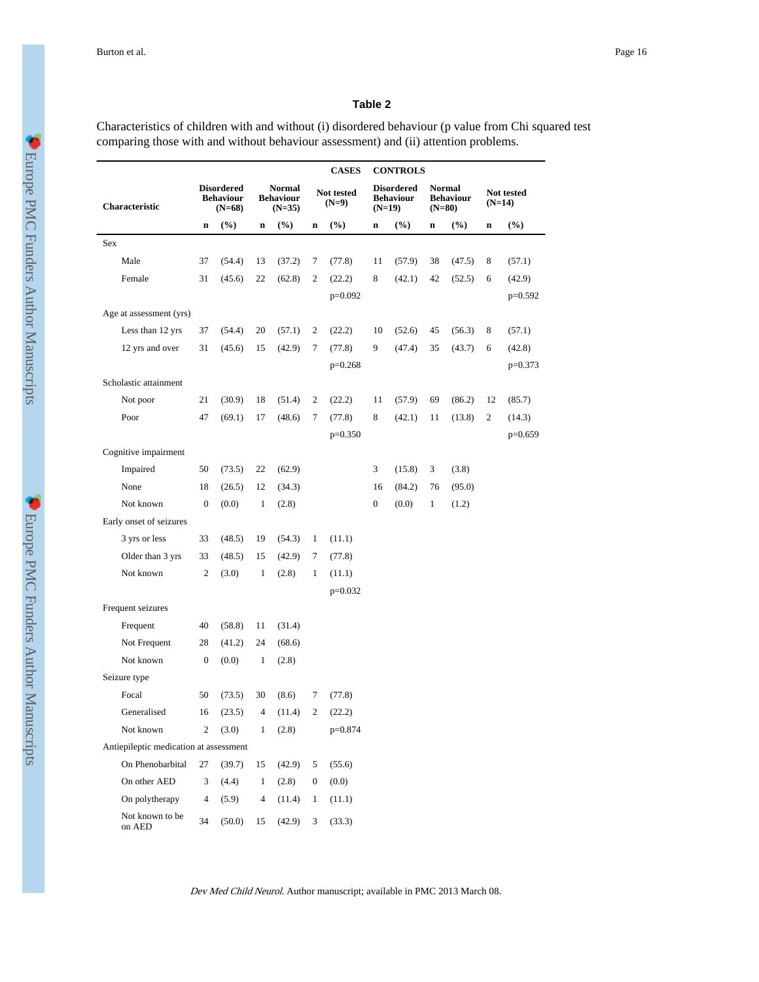#### **Table 2**

Characteristics of children with and without (i) disordered behaviour (p value from Chi squared test comparing those with and without behaviour assessment) and (ii) attention problems.

|                                        |                  | <b>CASES</b><br><b>CONTROLS</b>                   |                |                                        |                       |           |                  |                                                   |              |                                               |    |                        |  |
|----------------------------------------|------------------|---------------------------------------------------|----------------|----------------------------------------|-----------------------|-----------|------------------|---------------------------------------------------|--------------|-----------------------------------------------|----|------------------------|--|
| Characteristic                         |                  | <b>Disordered</b><br><b>Behaviour</b><br>$(N=68)$ |                | Normal<br><b>Behaviour</b><br>$(N=35)$ | Not tested<br>$(N=9)$ |           |                  | <b>Disordered</b><br><b>Behaviour</b><br>$(N=19)$ |              | <b>Normal</b><br><b>Behaviour</b><br>$(N=80)$ |    | Not tested<br>$(N=14)$ |  |
|                                        | $\mathbf n$      | $(\%)$                                            | $\mathbf n$    | $(\%)$                                 | $\mathbf n$           | $(\%)$    | $\mathbf n$      | $(\%)$                                            | n            | $(\%)$                                        | n  | $(\%)$                 |  |
| Sex                                    |                  |                                                   |                |                                        |                       |           |                  |                                                   |              |                                               |    |                        |  |
| Male                                   | 37               | (54.4)                                            | 13             | (37.2)                                 | 7                     | (77.8)    | 11               | (57.9)                                            | 38           | (47.5)                                        | 8  | (57.1)                 |  |
| Female                                 | 31               | (45.6)                                            | 22             | (62.8)                                 | $\mathbf{2}$          | (22.2)    | 8                | (42.1)                                            | 42           | (52.5)                                        | 6  | (42.9)                 |  |
|                                        |                  |                                                   |                |                                        |                       | $p=0.092$ |                  |                                                   |              |                                               |    | $p=0.592$              |  |
| Age at assessment (yrs)                |                  |                                                   |                |                                        |                       |           |                  |                                                   |              |                                               |    |                        |  |
| Less than 12 yrs                       | 37               | (54.4)                                            | 20             | (57.1)                                 | 2                     | (22.2)    | 10               | (52.6)                                            | 45           | (56.3)                                        | 8  | (57.1)                 |  |
| 12 yrs and over                        | 31               | (45.6)                                            | 15             | (42.9)                                 | 7                     | (77.8)    | 9                | (47.4)                                            | 35           | (43.7)                                        | 6  | (42.8)                 |  |
|                                        |                  |                                                   |                |                                        |                       | $p=0.268$ |                  |                                                   |              |                                               |    | $p=0.373$              |  |
| Scholastic attainment                  |                  |                                                   |                |                                        |                       |           |                  |                                                   |              |                                               |    |                        |  |
| Not poor                               | 21               | (30.9)                                            | 18             | (51.4)                                 | 2                     | (22.2)    | 11               | (57.9)                                            | 69           | (86.2)                                        | 12 | (85.7)                 |  |
| Poor                                   | 47               | (69.1)                                            | 17             | (48.6)                                 | 7                     | (77.8)    | 8                | (42.1)                                            | 11           | (13.8)                                        | 2  | (14.3)                 |  |
|                                        |                  |                                                   |                |                                        |                       | $p=0.350$ |                  |                                                   |              |                                               |    | $p=0.659$              |  |
| Cognitive impairment                   |                  |                                                   |                |                                        |                       |           |                  |                                                   |              |                                               |    |                        |  |
| Impaired                               | 50               | (73.5)                                            | 22             | (62.9)                                 |                       |           | 3                | (15.8)                                            | 3            | (3.8)                                         |    |                        |  |
| None                                   | 18               | (26.5)                                            | 12             | (34.3)                                 |                       |           | 16               | (84.2)                                            | 76           | (95.0)                                        |    |                        |  |
| Not known                              | $\boldsymbol{0}$ | (0.0)                                             | $\mathbf{1}$   | (2.8)                                  |                       |           | $\boldsymbol{0}$ | (0.0)                                             | $\mathbf{1}$ | (1.2)                                         |    |                        |  |
| Early onset of seizures                |                  |                                                   |                |                                        |                       |           |                  |                                                   |              |                                               |    |                        |  |
| 3 yrs or less                          | 33               | (48.5)                                            | 19             | (54.3)                                 | $\mathbf{1}$          | (11.1)    |                  |                                                   |              |                                               |    |                        |  |
| Older than 3 yrs                       | 33               | (48.5)                                            | 15             | (42.9)                                 | 7                     | (77.8)    |                  |                                                   |              |                                               |    |                        |  |
| Not known                              | 2                | (3.0)                                             | 1              | (2.8)                                  | 1                     | (11.1)    |                  |                                                   |              |                                               |    |                        |  |
|                                        |                  |                                                   |                |                                        |                       | $p=0.032$ |                  |                                                   |              |                                               |    |                        |  |
| Frequent seizures                      |                  |                                                   |                |                                        |                       |           |                  |                                                   |              |                                               |    |                        |  |
| Frequent                               | 40               | (58.8)                                            | 11             | (31.4)                                 |                       |           |                  |                                                   |              |                                               |    |                        |  |
| Not Frequent                           | 28               | (41.2)                                            | 24             | (68.6)                                 |                       |           |                  |                                                   |              |                                               |    |                        |  |
| Not known                              | $\boldsymbol{0}$ | (0.0)                                             | 1              | (2.8)                                  |                       |           |                  |                                                   |              |                                               |    |                        |  |
| Seizure type                           |                  |                                                   |                |                                        |                       |           |                  |                                                   |              |                                               |    |                        |  |
| Focal                                  | 50               | (73.5)                                            | 30             | (8.6)                                  | 7                     | (77.8)    |                  |                                                   |              |                                               |    |                        |  |
| Generalised                            |                  | 16(23.5)                                          | $\overline{4}$ | (11.4)                                 | $\overline{c}$        | (22.2)    |                  |                                                   |              |                                               |    |                        |  |
| Not known                              | $\overline{c}$   | (3.0)                                             | $\mathbf{1}$   | (2.8)                                  |                       | $p=0.874$ |                  |                                                   |              |                                               |    |                        |  |
| Antiepileptic medication at assessment |                  |                                                   |                |                                        |                       |           |                  |                                                   |              |                                               |    |                        |  |
| On Phenobarbital                       | 27               | (39.7)                                            | 15             | (42.9)                                 | 5                     | (55.6)    |                  |                                                   |              |                                               |    |                        |  |
| On other AED                           | 3                | (4.4)                                             | $\mathbf{1}$   | (2.8)                                  | $\boldsymbol{0}$      | (0.0)     |                  |                                                   |              |                                               |    |                        |  |
| On polytherapy                         | $\overline{4}$   | (5.9)                                             | 4              | (11.4)                                 | $\mathbf{1}$          | (11.1)    |                  |                                                   |              |                                               |    |                        |  |
| Not known to be<br>on AED              | 34               | (50.0)                                            | 15             | (42.9)                                 | 3                     | (33.3)    |                  |                                                   |              |                                               |    |                        |  |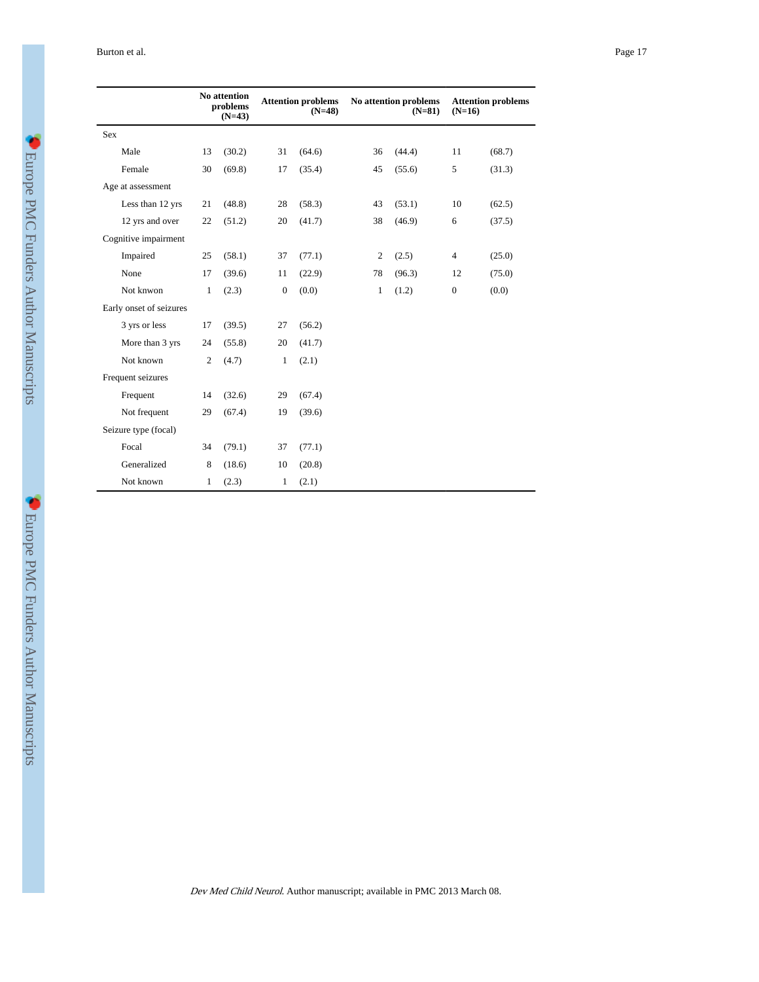| Burton et al.<br>. | Page 17 |
|--------------------|---------|
|                    |         |

|                         |                | <b>No attention</b><br>problems<br>$(N=43)$ | <b>Attention problems</b><br>$(N=48)$ |        | No attention problems<br>$(N=81)$ |        | $(N=16)$         | <b>Attention problems</b> |
|-------------------------|----------------|---------------------------------------------|---------------------------------------|--------|-----------------------------------|--------|------------------|---------------------------|
| Sex                     |                |                                             |                                       |        |                                   |        |                  |                           |
| Male                    | 13             | (30.2)                                      | 31                                    | (64.6) | 36                                | (44.4) | 11               | (68.7)                    |
| Female                  | 30             | (69.8)                                      | 17                                    | (35.4) | 45                                | (55.6) | 5                | (31.3)                    |
| Age at assessment       |                |                                             |                                       |        |                                   |        |                  |                           |
| Less than 12 yrs        | 21             | (48.8)                                      | 28                                    | (58.3) | 43                                | (53.1) | 10               | (62.5)                    |
| 12 yrs and over         | 22             | (51.2)                                      | 20                                    | (41.7) | 38                                | (46.9) | 6                | (37.5)                    |
| Cognitive impairment    |                |                                             |                                       |        |                                   |        |                  |                           |
| Impaired                | 25             | (58.1)                                      | 37                                    | (77.1) | $\overline{c}$                    | (2.5)  | $\overline{4}$   | (25.0)                    |
| None                    | 17             | (39.6)                                      | 11                                    | (22.9) | 78                                | (96.3) | 12               | (75.0)                    |
| Not knwon               | $\mathbf{1}$   | (2.3)                                       | $\mathbf{0}$                          | (0.0)  | 1                                 | (1.2)  | $\boldsymbol{0}$ | (0.0)                     |
| Early onset of seizures |                |                                             |                                       |        |                                   |        |                  |                           |
| 3 yrs or less           | 17             | (39.5)                                      | 27                                    | (56.2) |                                   |        |                  |                           |
| More than 3 yrs         | 24             | (55.8)                                      | 20                                    | (41.7) |                                   |        |                  |                           |
| Not known               | $\overline{2}$ | (4.7)                                       | 1                                     | (2.1)  |                                   |        |                  |                           |
| Frequent seizures       |                |                                             |                                       |        |                                   |        |                  |                           |
| Frequent                | 14             | (32.6)                                      | 29                                    | (67.4) |                                   |        |                  |                           |
| Not frequent            | 29             | (67.4)                                      | 19                                    | (39.6) |                                   |        |                  |                           |
| Seizure type (focal)    |                |                                             |                                       |        |                                   |        |                  |                           |
| Focal                   | 34             | (79.1)                                      | 37                                    | (77.1) |                                   |        |                  |                           |
| Generalized             | 8              | (18.6)                                      | 10                                    | (20.8) |                                   |        |                  |                           |
| Not known               | 1              | (2.3)                                       | 1                                     | (2.1)  |                                   |        |                  |                           |

**CEUrope PMC Funders Author Manuscripts**